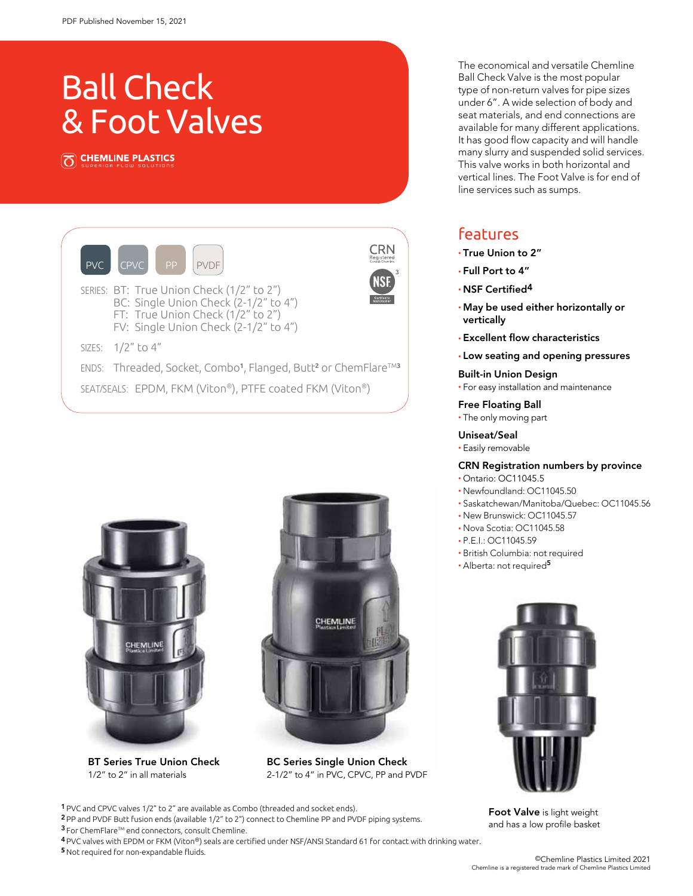# Ball Check & Foot Valves

CHEMLINE PLASTICS





BT Series True Union Check 1/2" to 2" in all materials



BC Series Single Union Check 2-1/2" to 4" in PVC, CPVC, PP and PVDF

1 PVC and CPVC valves 1/2" to 2" are available as Combo (threaded and socket ends).

2 PP and PVDF Butt fusion ends (available 1/2" to 2") connect to Chemline PP and PVDF piping systems. <sup>3</sup> For ChemFlare™ end connectors, consult Chemline.

4 PVC valves with EPDM or FKM (Viton®) seals are certified under NSF/ANSI Standard 61 for contact with drinking water. **5** Not required for non-expandable fluids.

The economical and versatile Chemline Ball Check Valve is the most popular type of non-return valves for pipe sizes under 6". A wide selection of body and seat materials, and end connections are available for many different applications. It has good flow capacity and will handle many slurry and suspended solid services. This valve works in both horizontal and vertical lines. The Foot Valve is for end of line services such as sumps.

## features

- True Union to 2"
- Full Port to 4"
- NSF Certified4
- May be used either horizontally or vertically
- Excellent flow characteristics
- Low seating and opening pressures

## Built-in Union Design • For easy installation and maintenance

## Free Floating Ball

• The only moving part

## Uniseat/Seal

• Easily removable

## CRN Registration numbers by province

- Ontario: OC11045.5 • Newfoundland: OC11045.50
- Saskatchewan/Manitoba/Quebec: OC11045.56
- New Brunswick: OC11045.57
- Nova Scotia: OC11045.58
- P.E.I.: OC11045.59
- British Columbia: not required
- Alberta: not required<sup>5</sup>



Foot Valve is light weight and has a low profile basket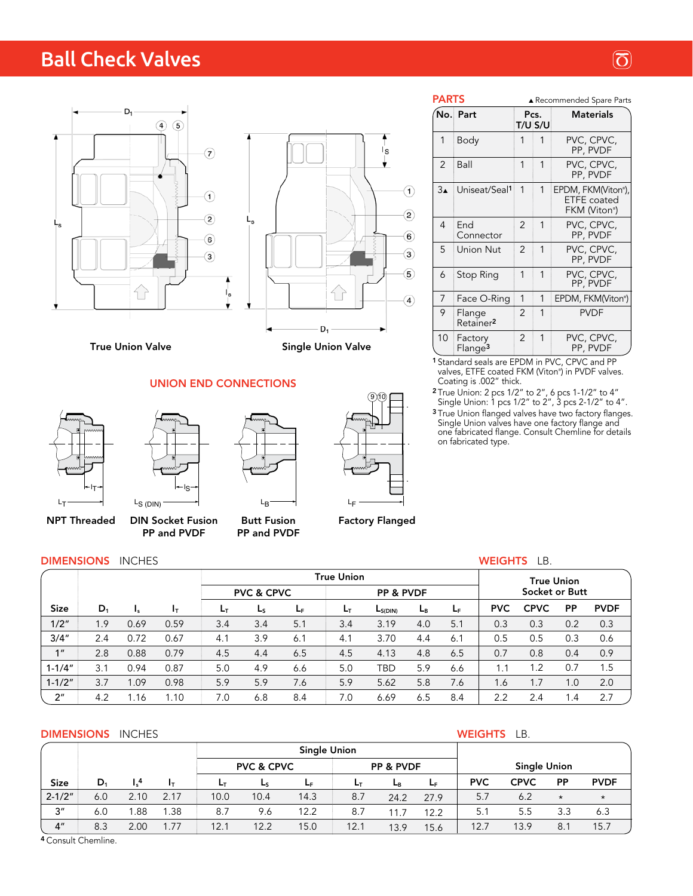## Ball Check Valves





True Union Valve

## UNION END CONNECTIONS





PP and PVDF

NPT Threaded DIN Socket Fusion Butt Fusion PP and PVDF

LB

9)(10  $L_{\text{F}}$ 

Factory Flanged

| <b>PARTS</b>         |                                 | ▲ Recommended Spare Parts |                 |                                                          |  |  |  |
|----------------------|---------------------------------|---------------------------|-----------------|----------------------------------------------------------|--|--|--|
|                      | No. Part                        |                           | Pcs.<br>T/U S/U | <b>Materials</b>                                         |  |  |  |
| 1                    | Body                            | 1                         | 1               | PVC, CPVC,<br>PP, PVDF                                   |  |  |  |
| $\overline{2}$       | Ball                            | 1                         | 1               | PVC, CPVC,<br>PP, PVDF                                   |  |  |  |
| $3_{\blacktriangle}$ | Uniseat/Seal1                   | 1                         | 1               | EPDM, FKM(Viton®),<br><b>ETFE</b> coated<br>FKM (Viton®) |  |  |  |
| 4                    | End<br>Connector                | 2                         | 1               | PVC, CPVC,<br>PP, PVDF                                   |  |  |  |
| 5                    | Union Nut                       | $\mathfrak{p}$            | 1               | PVC, CPVC,<br>PP, PVDF                                   |  |  |  |
| 6                    | Stop Ring                       | 1                         | 1               | PVC, CPVC,<br>PP, PVDF                                   |  |  |  |
| 7                    | Face O-Ring                     | 1                         | 1               | EPDM, FKM(Viton®)                                        |  |  |  |
| 9                    | Flange<br>Retainer <sup>2</sup> | 2                         | 1               | <b>PVDF</b>                                              |  |  |  |
| 10                   | Factory<br>Flange <sup>3</sup>  | 2                         | 1               | PVC, CPVC,<br>PP, PVDF                                   |  |  |  |

<sup>1</sup> Standard seals are EPDM in PVC, CPVC and PP valves, ETFE coated FKM (Viton® ) in PVDF valves. Coating is .002" thick.

 $2$  True Union: 2 pcs 1/2" to 2", 6 pcs 1-1/2" to 4" Single Union: 1 pcs 1/2" to 2", 3 pcs 2-1/2" to 4".

<sup>3</sup> True Union flanged valves have two factory flanges. Single Union valves have one factory flange and one fabricated flange. Consult Chemline for details on fabricated type.

## **DIMENSIONS** INCHES **WEIGHTS** LB.

|                 |       |                              |      |                                    |     |                | <b>True Union</b> |              |                | <b>True Union</b> |            |             |                 |             |
|-----------------|-------|------------------------------|------|------------------------------------|-----|----------------|-------------------|--------------|----------------|-------------------|------------|-------------|-----------------|-------------|
|                 |       |                              |      | <b>PVC &amp; CPVC</b><br>PP & PVDF |     |                | Socket or Butt    |              |                |                   |            |             |                 |             |
| <b>Size</b>     | $D_1$ | $_{\mathsf{I}_{\mathsf{S}}}$ | Iт   | Ŀт                                 | Ls  | L <sub>F</sub> | Ŀт                | $L_{S(DIN)}$ | L <sub>B</sub> | ĿF                | <b>PVC</b> | <b>CPVC</b> | <b>PP</b>       | <b>PVDF</b> |
| 1/2"            | 1.9   | 0.69                         | 0.59 | 3.4                                | 3.4 | 5.1            | 3.4               | 3.19         | 4.0            | 5.1               | 0.3        | 0.3         | 0.2             | 0.3         |
| 3/4"            | 2.4   | 0.72                         | 0.67 | 4.1                                | 3.9 | 6.1            | 4.1               | 3.70         | 4.4            | 6.1               | 0.5        | 0.5         | 0.3             | 0.6         |
| 1 <sup>''</sup> | 2.8   | 0.88                         | 0.79 | 4.5                                | 4.4 | 6.5            | 4.5               | 4.13         | 4.8            | 6.5               | 0.7        | 0.8         | 0.4             | 0.9         |
| $1 - 1/4"$      | 3.1   | 0.94                         | 0.87 | 5.0                                | 4.9 | 6.6            | 5.0               | TBD          | 5.9            | 6.6               | 1.1        | 1.2         | 0.7             | 1.5         |
| $1 - 1/2"$      | 3.7   | .09                          | 0.98 | 5.9                                | 5.9 | 7.6            | 5.9               | 5.62         | 5.8            | 7.6               | 1.6        | 1.7         | 0.1             | 2.0         |
| 2 <sup>n</sup>  | 4.2   | . 16. ،                      | 1.10 | 7.0                                | 6.8 | 8.4            | 7.0               | 6.69         | 6.5            | 8.4               | 2.2        | 2.4         | $\overline{.4}$ | 2.7         |

## **DIMENSIONS** INCHES **WEIGHTS** LB.

|                 |       |                |      |      | <b>Single Union</b>   |      |           |      |           |                     |             |           |             |
|-----------------|-------|----------------|------|------|-----------------------|------|-----------|------|-----------|---------------------|-------------|-----------|-------------|
|                 |       |                |      |      | <b>PVC &amp; CPVC</b> |      | PP & PVDF |      |           | <b>Single Union</b> |             |           |             |
| <b>Size</b>     | $D_1$ | $\mathsf{I}^4$ | Iτ   | Lт   | Ls                    | LF.  | Lт.       | Lв   | <b>LF</b> | <b>PVC</b>          | <b>CPVC</b> | <b>PP</b> | <b>PVDF</b> |
| $2 - 1/2"$      | 6.0   | 2.10           | 2.17 | 10.0 | 10.4                  | 14.3 | 8.7       | 24.2 | 27.9      | 5.7                 | 6.2         | $\star$   | $\star$     |
| 3''             | 6.0   | .88            | 1.38 | 8.7  | 9.6                   | 12.2 | 8.7       | 11.7 | 12.2      | 5.1                 | 5.5         | 3.3       | 6.3         |
| 4 <sup>''</sup> | 8.3   | 2.00           | 1.77 | 12.1 | 12.2                  | 15.0 | 12.1      | 13.9 | 15.6      | 12.7                | 13.9        | 8.        | 15.7        |

<sup>4</sup> Consult Chemline.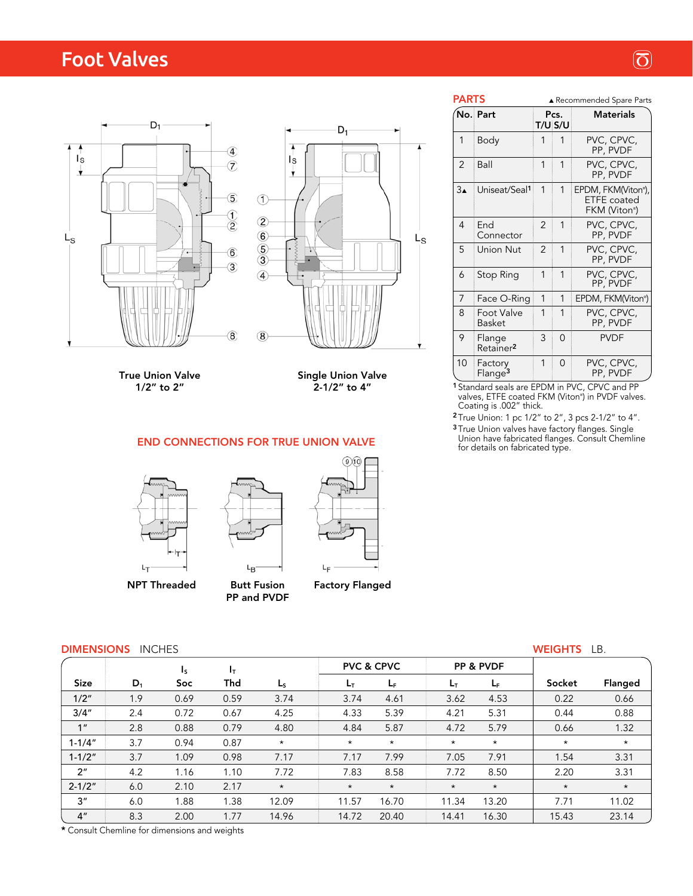## Foot Valves





True Union Valve 1/2" to 2"

Single Union Valve  $2 - 1/2"$  to  $4"$ 

END CONNECTIONS FOR TRUE UNION VALVE







NPT Threaded

Butt Fusion PP and PVDF

Lд

## Factory Flanged

| <b>DIMENSIONS</b> | <b>INCHES</b> |
|-------------------|---------------|
|-------------------|---------------|

|                                                                                                                                         |                                   |   |              | PP, PVDF               |  |  |  |  |  |  |
|-----------------------------------------------------------------------------------------------------------------------------------------|-----------------------------------|---|--------------|------------------------|--|--|--|--|--|--|
| 7                                                                                                                                       | Face O-Ring                       | 1 | $\mathbf{1}$ | EPDM, FKM(Viton®)      |  |  |  |  |  |  |
| 8                                                                                                                                       | Foot Valve<br>Basket              |   | 1            | PVC, CPVC,<br>PP, PVDF |  |  |  |  |  |  |
| 9                                                                                                                                       | Flange<br>Retainer <sup>2</sup>   | 3 | $\cap$       | <b>PVDF</b>            |  |  |  |  |  |  |
|                                                                                                                                         | 10 Factory<br>Flange <sup>3</sup> |   | $\Omega$     | PVC, CPVC,<br>PP, PVDF |  |  |  |  |  |  |
| <sup>1</sup> Standard seals are EPDM in PVC, CPVC and PP<br>valves, ETFE coated FKM (Viton®) in PVDF valves.<br>Coating is .002" thick. |                                   |   |              |                        |  |  |  |  |  |  |

PARTS A Recommended Spare Parts No. Part Pcs. Materials T/U S/U 1 Body 1 1 PVC, CPVC, PP, PVDF 2 Ball 1 1 PVC, CPVC, PP, PVDF 3▲ | Uniseat/Seal<sup>1</sup> | 1 | 1 | EPDM, FKM(Viton®),

 FKM (Viton® ) 4 End 2 1 PVC, CPVC,<br>Connector 2 1 PVC, CPVC,

5 Union Nut 2 1 PVC, CPVC,

6 Stop Ring 1 1 PVC, CPVC,

Connector

<sup>2</sup> True Union: 1 pc 1/2" to 2", 3 pcs 2-1/2" to 4". <sup>3</sup> True Union valves have factory flanges. Single Union have fabricated flanges. Consult Chemline for details on fabricated type.

|  | WEIGHT |  | D |
|--|--------|--|---|

| <b>DIMENSIONS</b><br><b>INCHES</b> |       |                         |       |         |         |                       |         |                      | <b>WEIGHTS</b> | LB.     |
|------------------------------------|-------|-------------------------|-------|---------|---------|-----------------------|---------|----------------------|----------------|---------|
|                                    |       | $\mathsf{I}_\mathsf{S}$ | $I_T$ |         |         | <b>PVC &amp; CPVC</b> |         | <b>PP &amp; PVDF</b> |                |         |
| <b>Size</b>                        | $D_1$ | Soc                     | Thd   | $L_{S}$ | Lт      | L <sub>F</sub>        | Lт      | L <sub>E</sub>       | Socket         | Flanged |
| 1/2"                               | 1.9   | 0.69                    | 0.59  | 3.74    | 3.74    | 4.61                  | 3.62    | 4.53                 | 0.22           | 0.66    |
| 3/4''                              | 2.4   | 0.72                    | 0.67  | 4.25    | 4.33    | 5.39                  | 4.21    | 5.31                 | 0.44           | 0.88    |
| 1 <sup>''</sup>                    | 2.8   | 0.88                    | 0.79  | 4.80    | 4.84    | 5.87                  | 4.72    | 5.79                 | 0.66           | 1.32    |
| $1 - 1/4"$                         | 3.7   | 0.94                    | 0.87  | $\star$ | $\star$ | $\star$               | $\star$ | $\star$              | $\star$        | $\star$ |
| $1 - 1/2"$                         | 3.7   | 1.09                    | 0.98  | 7.17    | 7.17    | 7.99                  | 7.05    | 7.91                 | 1.54           | 3.31    |
| 2 <sup>n</sup>                     | 4.2   | 1.16                    | 1.10  | 7.72    | 7.83    | 8.58                  | 7.72    | 8.50                 | 2.20           | 3.31    |
| $2 - 1/2"$                         | 6.0   | 2.10                    | 2.17  | $\star$ | $\star$ | $\star$               | $\star$ | $\star$              | $\star$        | $\star$ |
| 3"                                 | 6.0   | 1.88                    | 1.38  | 12.09   | 11.57   | 16.70                 | 11.34   | 13.20                | 7.71           | 11.02   |
| 4 <sup>''</sup>                    | 8.3   | 2.00                    | 1.77  | 14.96   | 14.72   | 20.40                 | 14.41   | 16.30                | 15.43          | 23.14   |

\* Consult Chemline for dimensions and weights

## $\circled{5}$

ETFE coated

PP, PVDF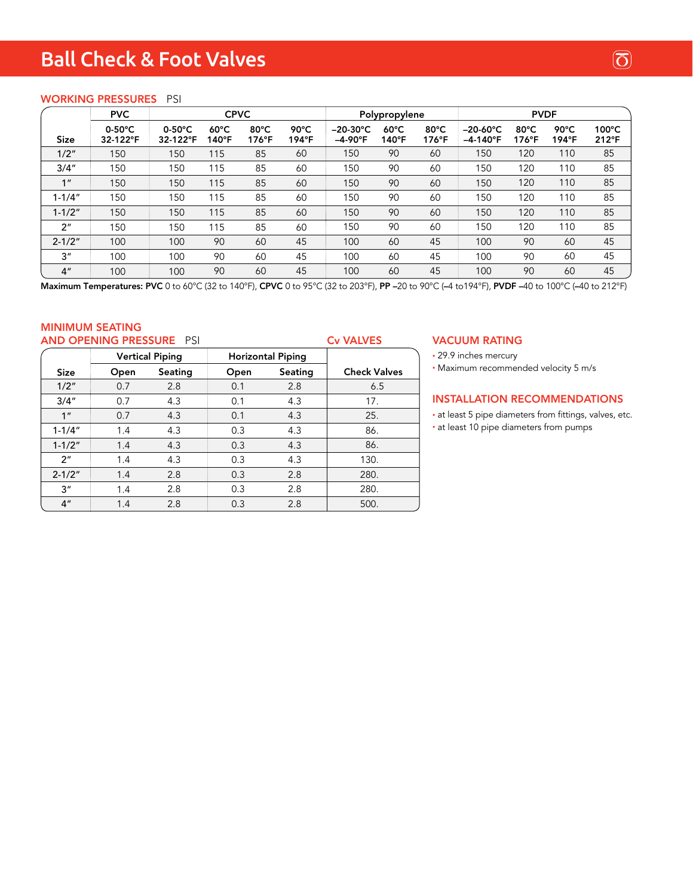## Ball Check & Foot Valves

## WORKING PRESSURES PSI

|                 | <b>PVC</b>                   | <b>CPVC</b>                  |                                   |                         |               |                                       | Polypropylene           |                         | <b>PVDF</b>                            |                                  |                         |                          |
|-----------------|------------------------------|------------------------------|-----------------------------------|-------------------------|---------------|---------------------------------------|-------------------------|-------------------------|----------------------------------------|----------------------------------|-------------------------|--------------------------|
| <b>Size</b>     | $0-50^{\circ}$ C<br>32-122°F | $0-50^{\circ}$ C<br>32-122°F | $60^{\circ}$ C<br>$140^{\circ}$ F | $80^{\circ}$ C<br>176°F | 90°C<br>194°F | $-20-30^{\circ}C$<br>$-4-90^{\circ}F$ | $60^{\circ}$ C<br>140°F | $80^{\circ}$ C<br>176°F | $-20-60^{\circ}C$<br>$-4-140^{\circ}F$ | $80^{\circ}$ C<br>$176^{\circ}F$ | $90^{\circ}$ C<br>194°F | $100^{\circ}$ C<br>212°F |
| 1/2"            | 150                          | 150                          | 115                               | 85                      | 60            | 150                                   | 90                      | 60                      | 150                                    | 120                              | 110                     | 85                       |
| 3/4"            | 150                          | 150                          | 115                               | 85                      | 60            | 150                                   | 90                      | 60                      | 150                                    | 120                              | 110                     | 85                       |
| 1 <sup>''</sup> | 150                          | 150                          | 115                               | 85                      | 60            | 150                                   | 90                      | 60                      | 150                                    | 120                              | 110                     | 85                       |
| $1 - 1/4"$      | 150                          | 150                          | 115                               | 85                      | 60            | 150                                   | 90                      | 60                      | 150                                    | 120                              | 110                     | 85                       |
| $1 - 1/2"$      | 150                          | 150                          | 115                               | 85                      | 60            | 150                                   | 90                      | 60                      | 150                                    | 120                              | 110                     | 85                       |
| 2 <sup>n</sup>  | 150                          | 150                          | 115                               | 85                      | 60            | 150                                   | 90                      | 60                      | 150                                    | 120                              | 110                     | 85                       |
| $2 - 1/2"$      | 100                          | 100                          | 90                                | 60                      | 45            | 100                                   | 60                      | 45                      | 100                                    | 90                               | 60                      | 45                       |
| 3 <sup>''</sup> | 100                          | 100                          | 90                                | 60                      | 45            | 100                                   | 60                      | 45                      | 100                                    | 90                               | 60                      | 45                       |
| 4 <sup>''</sup> | 100                          | 100                          | 90                                | 60                      | 45            | 100                                   | 60                      | 45                      | 100                                    | 90                               | 60                      | 45                       |

Maximum Temperatures: PVC 0 to 60°C (32 to 140°F), CPVC 0 to 95°C (32 to 203°F), PP –20 to 90°C (–4 to194°F), PVDF –40 to 100°C (–40 to 212°F)

#### MINIMUM SEATING AND OPENING PRESSURE PSI

| <b>AND OPENING PRESSURE PSI</b><br><b>Cv VALVES</b> |                 |                        |      |                          |                     |  |  |  |  |  |  |
|-----------------------------------------------------|-----------------|------------------------|------|--------------------------|---------------------|--|--|--|--|--|--|
|                                                     |                 | <b>Vertical Piping</b> |      | <b>Horizontal Piping</b> |                     |  |  |  |  |  |  |
| <b>Size</b>                                         | Seating<br>Open |                        | Open | Seating                  | <b>Check Valves</b> |  |  |  |  |  |  |
| 1/2"                                                | 0.7             | 2.8                    | 0.1  | 2.8                      | 6.5                 |  |  |  |  |  |  |
| 3/4"                                                | 0.7             | 4.3                    | 0.1  | 4.3                      | 17.                 |  |  |  |  |  |  |
| 1 <sup>''</sup>                                     | 0.7             | 4.3                    | 0.1  | 4.3                      | 25.                 |  |  |  |  |  |  |
| $1 - 1/4"$                                          | 1.4             | 4.3                    | 0.3  | 4.3                      | 86.                 |  |  |  |  |  |  |
| $1 - 1/2"$                                          | 1.4             | 4.3                    | 0.3  | 4.3                      | 86.                 |  |  |  |  |  |  |
| 2 <sup>n</sup>                                      | 1.4             | 4.3                    | 0.3  | 4.3                      | 130.                |  |  |  |  |  |  |
| $2 - 1/2"$                                          | 1.4             | 2.8                    | 0.3  | 2.8                      | 280.                |  |  |  |  |  |  |
| 3"                                                  | 1.4             | 2.8                    | 0.3  | 2.8                      | 280.                |  |  |  |  |  |  |
| 4"                                                  | 1.4             | 2.8                    | 0.3  | 2.8                      | 500.                |  |  |  |  |  |  |

#### VACUUM RATING

• 29.9 inches mercury

• Maximum recommended velocity 5 m/s

## INSTALLATION RECOMMENDATIONS

• at least 5 pipe diameters from fittings, valves, etc.

• at least 10 pipe diameters from pumps